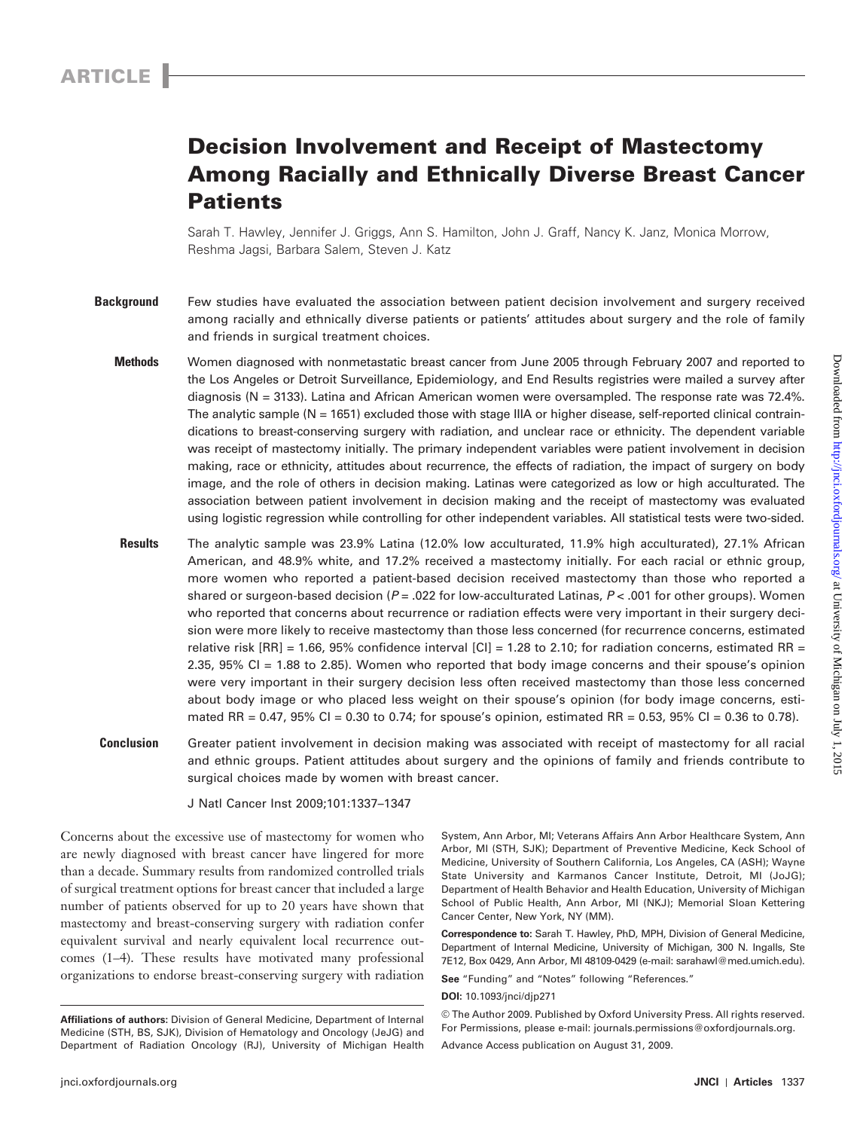# **Decision Involvement and Receipt of Mastectomy Among Racially and Ethnically Diverse Breast Cancer Patients**

Sarah T. Hawley, Jennifer J. Griggs, Ann S. Hamilton, John J. Graff, Nancy K. Janz, Monica Morrow, Reshma Jagsi, Barbara Salem, Steven J. Katz

- **Background** Few studies have evaluated the association between patient decision involvement and surgery received among racially and ethnically diverse patients or patients 'attitudes about surgery and the role of family and friends in surgical treatment choices.
	- **Methods** Women diagnosed with nonmetastatic breast cancer from June 2005 through February 2007 and reported to the Los Angeles or Detroit Surveillance, Epidemiology, and End Results registries were mailed a survey after diagnosis (N = 3133). Latina and African American women were oversampled. The response rate was 72.4%. The analytic sample (N = 1651) excluded those with stage IIIA or higher disease, self-reported clinical contraindications to breast-conserving surgery with radiation, and unclear race or ethnicity. The dependent variable was receipt of mastectomy initially. The primary independent variables were patient involvement in decision making, race or ethnicity, attitudes about recurrence, the effects of radiation, the impact of surgery on body image, and the role of others in decision making. Latinas were categorized as low or high acculturated. The association between patient involvement in decision making and the receipt of mastectomy was evaluated using logistic regression while controlling for other independent variables. All statistical tests were two-sided.
	- **Results** The analytic sample was 23.9% Latina (12.0% low acculturated, 11.9% high acculturated), 27.1% African American, and 48.9% white, and 17.2% received a mastectomy initially. For each racial or ethnic group, more women who reported a patient-based decision received mastectomy than those who reported a shared or surgeon-based decision ( $P = 0.022$  for low-acculturated Latinas,  $P < 0.001$  for other groups). Women who reported that concerns about recurrence or radiation effects were very important in their surgery decision were more likely to receive mastectomy than those less concerned (for recurrence concerns, estimated relative risk  $[RR] = 1.66$ , 95% confidence interval  $[Cl] = 1.28$  to 2.10; for radiation concerns, estimated RR =  $2.35$ ,  $95\%$  CI = 1.88 to 2.85). Women who reported that body image concerns and their spouse's opinion were very important in their surgery decision less often received mastectomy than those less concerned about body image or who placed less weight on their spouse's opinion (for body image concerns, estimated RR =  $0.47$ , 95% CI =  $0.30$  to 0.74; for spouse's opinion, estimated RR =  $0.53$ , 95% CI =  $0.36$  to 0.78).
- **Conclusion** Greater patient involvement in decision making was associated with receipt of mastectomy for all racial and ethnic groups. Patient attitudes about surgery and the opinions of family and friends contribute to surgical choices made by women with breast cancer.

J Natl Cancer Inst 2009;101:1337–1347

Concerns about the excessive use of mastectomy for women who are newly diagnosed with breast cancer have lingered for more than a decade. Summary results from randomized controlled trials of surgical treatment options for breast cancer that included a large number of patients observed for up to 20 years have shown that mastectomy and breast-conserving surgery with radiation confer equivalent survival and nearly equivalent local recurrence outcomes  $(1-4)$ . These results have motivated many professional organizations to endorse breast-conserving surgery with radiation System, Ann Arbor, MI; Veterans Affairs Ann Arbor Healthcare System, Ann Arbor, MI (STH, SJK); Department of Preventive Medicine, Keck School of Medicine, University of Southern California, Los Angeles, CA (ASH); Wayne State University and Karmanos Cancer Institute, Detroit, MI (JoJG); Department of Health Behavior and Health Education, University of Michigan School of Public Health, Ann Arbor, MI (NKJ); Memorial Sloan Kettering Cancer Center, New York, NY (MM) .

**Correspondence to:** Sarah T. Hawley, PhD, MPH, Division of General Medicine, Department of Internal Medicine, University of Michigan, 300 N. Ingalls, Ste 7E12, Box 0429, Ann Arbor, MI 48109-0429 (e-mail: sarahawl@med.umich.edu ).

**See** "Funding" and "Notes" following "References."

**DOI:** 10.1093/jnci/djp271

© The Author 2009. Published by Oxford University Press. All rights reserved. For Permissions, please e-mail: journals.permissions@oxfordjournals.org. Advance Access publication on August 31, 2009.

**Affiliations of authors:** Division of General Medicine, Department of Internal Medicine (STH, BS, SJK), Division of Hematology and Oncology (JeJG) and Department of Radiation Oncology (RJ), University of Michigan Health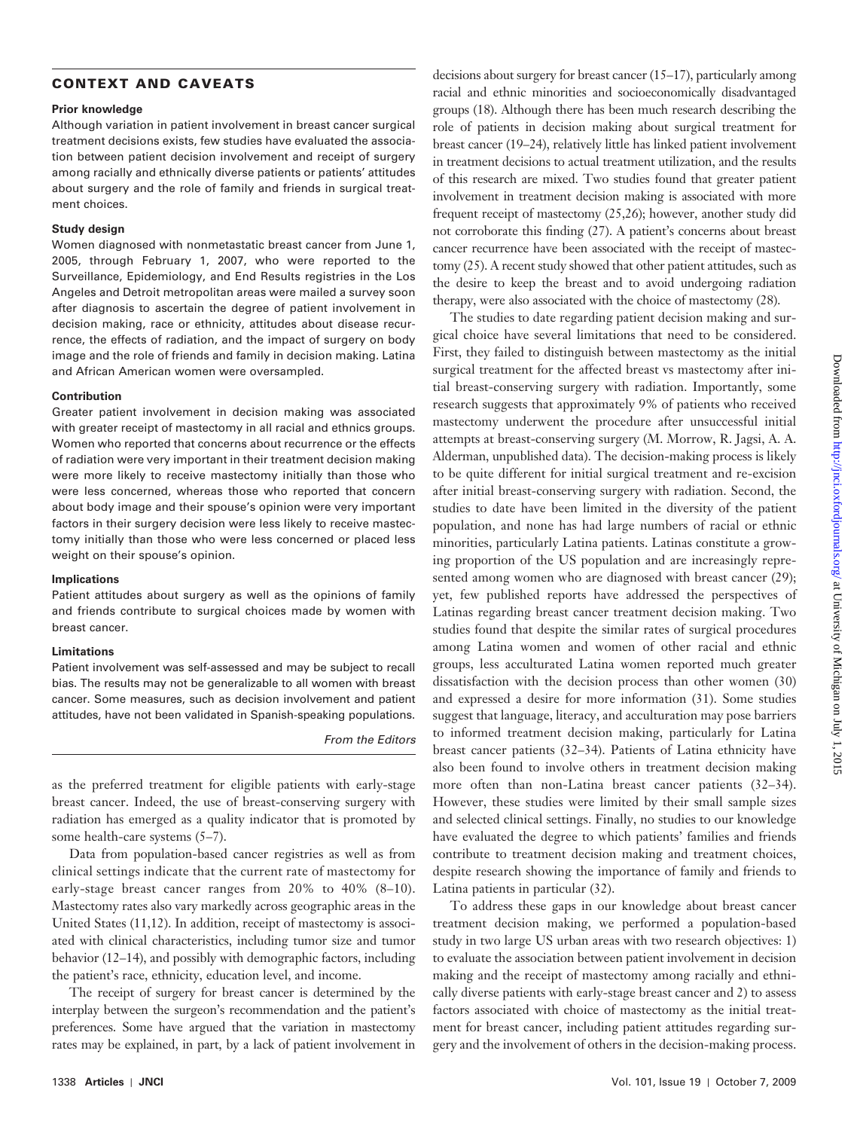## **CONTEXT AND CAVEATS**

#### **Prior knowledge**

Although variation in patient involvement in breast cancer surgical treatment decisions exists, few studies have evaluated the association between patient decision involvement and receipt of surgery among racially and ethnically diverse patients or patients' attitudes about surgery and the role of family and friends in surgical treatment choices.

#### **Study design**

Women diagnosed with nonmetastatic breast cancer from June 1, 2005, through February 1, 2007, who were reported to the Surveillance, Epidemiology, and End Results registries in the Los Angeles and Detroit metropolitan areas were mailed a survey soon after diagnosis to ascertain the degree of patient involvement in decision making, race or ethnicity, attitudes about disease recurrence, the effects of radiation, and the impact of surgery on body image and the role of friends and family in decision making. Latina and African American women were oversampled.

#### **Contribution**

Greater patient involvement in decision making was associated with greater receipt of mastectomy in all racial and ethnics groups. Women who reported that concerns about recurrence or the effects of radiation were very important in their treatment decision making were more likely to receive mastectomy initially than those who were less concerned, whereas those who reported that concern about body image and their spouse's opinion were very important factors in their surgery decision were less likely to receive mastectomy initially than those who were less concerned or placed less weight on their spouse's opinion.

#### **Implications**

Patient attitudes about surgery as well as the opinions of family and friends contribute to surgical choices made by women with breast cancer.

#### **Limitations**

Patient involvement was self-assessed and may be subject to recall bias. The results may not be generalizable to all women with breast cancer. Some measures, such as decision involvement and patient attitudes, have not been validated in Spanish-speaking populations.

From the Editors

as the preferred treatment for eligible patients with early-stage breast cancer. Indeed, the use of breast-conserving surgery with radiation has emerged as a quality indicator that is promoted by some health-care systems  $(5-7)$ .

Data from population-based cancer registries as well as from clinical settings indicate that the current rate of mastectomy for early-stage breast cancer ranges from  $20\%$  to  $40\%$  (8-10). Mastectomy rates also vary markedly across geographic areas in the United States (11,12). In addition, receipt of mastectomy is associated with clinical characteristics, including tumor size and tumor behavior  $(12-14)$ , and possibly with demographic factors, including the patient's race, ethnicity, education level, and income.

The receipt of surgery for breast cancer is determined by the interplay between the surgeon's recommendation and the patient's preferences. Some have argued that the variation in mastectomy rates may be explained, in part, by a lack of patient involvement in

decisions about surgery for breast cancer  $(15-17)$ , particularly among racial and ethnic minorities and socioeconomically disadvantaged groups (18). Although there has been much research describing the role of patients in decision making about surgical treatment for breast cancer (19-24), relatively little has linked patient involvement in treatment decisions to actual treatment utilization, and the results of this research are mixed. Two studies found that greater patient involvement in treatment decision making is associated with more frequent receipt of mastectomy  $(25,26)$ ; however, another study did not corroborate this finding (27). A patient's concerns about breast cancer recurrence have been associated with the receipt of mastectomy (25). A recent study showed that other patient attitudes, such as the desire to keep the breast and to avoid undergoing radiation therapy, were also associated with the choice of mastectomy (28).

The studies to date regarding patient decision making and surgical choice have several limitations that need to be considered. First, they failed to distinguish between mastectomy as the initial surgical treatment for the affected breast vs mastectomy after initial breast-conserving surgery with radiation. Importantly, some research suggests that approximately 9% of patients who received mastectomy underwent the procedure after unsuccessful initial attempts at breast-conserving surgery (M. Morrow, R. Jagsi, A. A. Alderman, unpublished data). The decision-making process is likely to be quite different for initial surgical treatment and re-excision after initial breast-conserving surgery with radiation. Second, the studies to date have been limited in the diversity of the patient population, and none has had large numbers of racial or ethnic minorities, particularly Latina patients. Latinas constitute a growing proportion of the US population and are increasingly represented among women who are diagnosed with breast cancer (29); yet, few published reports have addressed the perspectives of Latinas regarding breast cancer treatment decision making. Two studies found that despite the similar rates of surgical procedures among Latina women and women of other racial and ethnic groups, less acculturated Latina women reported much greater dissatisfaction with the decision process than other women (30) and expressed a desire for more information (31). Some studies suggest that language, literacy, and acculturation may pose barriers to informed treatment decision making, particularly for Latina breast cancer patients (32–34). Patients of Latina ethnicity have also been found to involve others in treatment decision making more often than non-Latina breast cancer patients (32-34). However, these studies were limited by their small sample sizes and selected clinical settings. Finally, no studies to our knowledge have evaluated the degree to which patients' families and friends contribute to treatment decision making and treatment choices, despite research showing the importance of family and friends to Latina patients in particular (32).

To address these gaps in our knowledge about breast cancer treatment decision making, we performed a population-based study in two large US urban areas with two research objectives: 1) to evaluate the association between patient involvement in decision making and the receipt of mastectomy among racially and ethnically diverse patients with early-stage breast cancer and 2) to assess factors associated with choice of mastectomy as the initial treatment for breast cancer, including patient attitudes regarding surgery and the involvement of others in the decision-making process.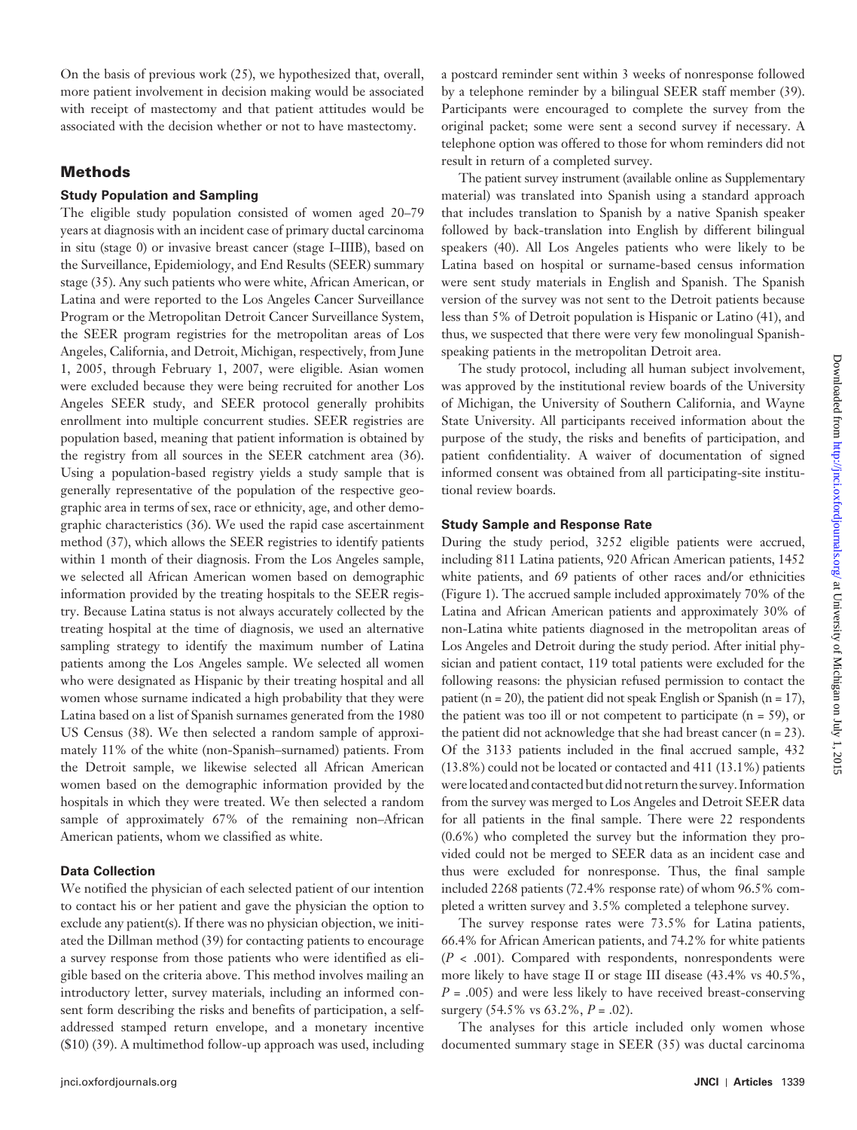On the basis of previous work  $(25)$ , we hypothesized that, overall, more patient involvement in decision making would be associated with receipt of mastectomy and that patient attitudes would be associated with the decision whether or not to have mastectomy.

# **Methods**

## **Study Population and Sampling**

The eligible study population consisted of women aged 20–79 years at diagnosis with an incident case of primary ductal carcinoma in situ (stage 0) or invasive breast cancer (stage I–IIIB), based on the Surveillance, Epidemiology, and End Results (SEER) summary stage (35). Any such patients who were white, African American, or Latina and were reported to the Los Angeles Cancer Surveillance Program or the Metropolitan Detroit Cancer Surveillance System, the SEER program registries for the metropolitan areas of Los Angeles, California, and Detroit, Michigan, respectively, from June 1, 2005, through February 1, 2007, were eligible. Asian women were excluded because they were being recruited for another Los Angeles SEER study, and SEER protocol generally prohibits enrollment into multiple concurrent studies. SEER registries are population based, meaning that patient information is obtained by the registry from all sources in the SEER catchment area (36). Using a population-based registry yields a study sample that is generally representative of the population of the respective geographic area in terms of sex, race or ethnicity, age, and other demographic characteristics (36). We used the rapid case ascertainment method (37), which allows the SEER registries to identify patients within 1 month of their diagnosis. From the Los Angeles sample, we selected all African American women based on demographic information provided by the treating hospitals to the SEER registry. Because Latina status is not always accurately collected by the treating hospital at the time of diagnosis, we used an alternative sampling strategy to identify the maximum number of Latina patients among the Los Angeles sample. We selected all women who were designated as Hispanic by their treating hospital and all women whose surname indicated a high probability that they were Latina based on a list of Spanish surnames generated from the 1980 US Census (38). We then selected a random sample of approximately 11% of the white (non-Spanish-surnamed) patients. From the Detroit sample, we likewise selected all African American women based on the demographic information provided by the hospitals in which they were treated. We then selected a random sample of approximately 67% of the remaining non-African American patients, whom we classified as white.

# **Data Collection**

We notified the physician of each selected patient of our intention to contact his or her patient and gave the physician the option to exclude any patient(s). If there was no physician objection, we initiated the Dillman method (39) for contacting patients to encourage a survey response from those patients who were identified as eligible based on the criteria above. This method involves mailing an introductory letter, survey materials, including an informed consent form describing the risks and benefits of participation, a selfaddressed stamped return envelope, and a monetary incentive (\$10) (39). A multimethod follow-up approach was used, including a postcard reminder sent within 3 weeks of nonresponse followed by a telephone reminder by a bilingual SEER staff member (39). Participants were encouraged to complete the survey from the original packet; some were sent a second survey if necessary. A telephone option was offered to those for whom reminders did not result in return of a completed survey.

The patient survey instrument (available online as Supplementary material) was translated into Spanish using a standard approach that includes translation to Spanish by a native Spanish speaker followed by back-translation into English by different bilingual speakers (40). All Los Angeles patients who were likely to be Latina based on hospital or surname-based census information were sent study materials in English and Spanish. The Spanish version of the survey was not sent to the Detroit patients because less than 5% of Detroit population is Hispanic or Latino (41), and thus, we suspected that there were very few monolingual Spanishspeaking patients in the metropolitan Detroit area.

The study protocol, including all human subject involvement, was approved by the institutional review boards of the University of Michigan, the University of Southern California, and Wayne State University. All participants received information about the purpose of the study, the risks and benefits of participation, and patient confidentiality. A waiver of documentation of signed informed consent was obtained from all participating-site institutional review boards.

## **Study Sample and Response Rate**

During the study period, 3252 eligible patients were accrued, including 811 Latina patients, 920 African American patients, 1452 white patients, and 69 patients of other races and/or ethnicities (Figure 1). The accrued sample included approximately 70% of the Latina and African American patients and approximately 30% of non-Latina white patients diagnosed in the metropolitan areas of Los Angeles and Detroit during the study period. After initial physician and patient contact, 119 total patients were excluded for the following reasons: the physician refused permission to contact the patient ( $n = 20$ ), the patient did not speak English or Spanish ( $n = 17$ ), the patient was too ill or not competent to participate ( $n = 59$ ), or the patient did not acknowledge that she had breast cancer  $(n = 23)$ . Of the 3133 patients included in the final accrued sample, 432 (13.8%) could not be located or contacted and 411 (13.1%) patients were located and contacted but did not return the survey. Information from the survey was merged to Los Angeles and Detroit SEER data for all patients in the final sample. There were 22 respondents (0.6%) who completed the survey but the information they provided could not be merged to SEER data as an incident case and thus were excluded for nonresponse. Thus, the final sample included 2268 patients (72.4% response rate) of whom 96.5% completed a written survey and 3.5% completed a telephone survey.

The survey response rates were 73.5% for Latina patients, 66.4% for African American patients, and 74.2% for white patients  $(P < .001)$ . Compared with respondents, nonrespondents were more likely to have stage II or stage III disease (43.4% vs 40.5%,  $P = .005$ ) and were less likely to have received breast-conserving surgery (54.5% vs 63.2%, *P* = .02).

The analyses for this article included only women whose documented summary stage in SEER (35) was ductal carcinoma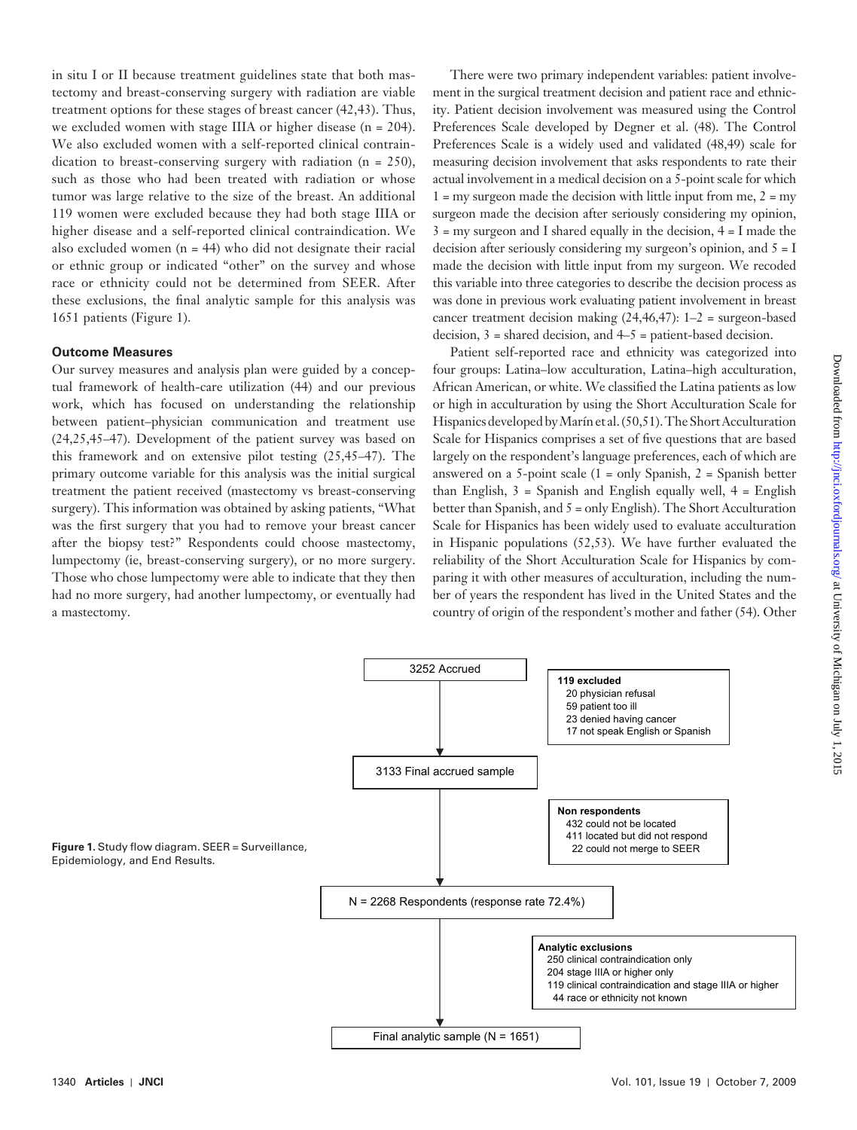in situ I or II because treatment guidelines state that both mastectomy and breast-conserving surgery with radiation are viable treatment options for these stages of breast cancer (42,43). Thus, we excluded women with stage IIIA or higher disease (n = 204). We also excluded women with a self-reported clinical contraindication to breast-conserving surgery with radiation (n = 250), such as those who had been treated with radiation or whose tumor was large relative to the size of the breast. An additional 119 women were excluded because they had both stage IIIA or higher disease and a self-reported clinical contraindication. We also excluded women  $(n = 44)$  who did not designate their racial or ethnic group or indicated "other" on the survey and whose race or ethnicity could not be determined from SEER. After these exclusions, the final analytic sample for this analysis was 1651 patients (Figure 1).

## **Outcome Measures**

Our survey measures and analysis plan were guided by a conceptual framework of health-care utilization (44) and our previous work, which has focused on understanding the relationship between patient-physician communication and treatment use  $(24, 25, 45-47)$ . Development of the patient survey was based on this framework and on extensive pilot testing  $(25, 45-47)$ . The primary outcome variable for this analysis was the initial surgical treatment the patient received (mastectomy vs breast-conserving surgery). This information was obtained by asking patients, "What was the first surgery that you had to remove your breast cancer after the biopsy test?" Respondents could choose mastectomy, lumpectomy (ie, breast-conserving surgery), or no more surgery. Those who chose lumpectomy were able to indicate that they then had no more surgery, had another lumpectomy, or eventually had a mastectomy.

There were two primary independent variables: patient involvement in the surgical treatment decision and patient race and ethnicity. Patient decision involvement was measured using the Control Preferences Scale developed by Degner et al. (48). The Control Preferences Scale is a widely used and validated (48,49) scale for measuring decision involvement that asks respondents to rate their actual involvement in a medical decision on a 5-point scale for which  $1 = \text{my surgeon made the decision with little input from me, } 2 = \text{my}$ surgeon made the decision after seriously considering my opinion,  $3 = \text{my surgeon}$  and I shared equally in the decision,  $4 = \text{I}$  made the decision after seriously considering my surgeon's opinion, and  $5 = I$ made the decision with little input from my surgeon. We recoded this variable into three categories to describe the decision process as was done in previous work evaluating patient involvement in breast cancer treatment decision making  $(24, 46, 47)$ : 1-2 = surgeon-based decision,  $3 =$  shared decision, and  $4-5 =$  patient-based decision.

Patient self-reported race and ethnicity was categorized into four groups: Latina-low acculturation, Latina-high acculturation, African American, or white. We classified the Latina patients as low or high in acculturation by using the Short Acculturation Scale for Hispanics developed by Marín et al. (50,51). The Short Acculturation Scale for Hispanics comprises a set of five questions that are based largely on the respondent's language preferences, each of which are answered on a 5-point scale  $(1 = only Spanish, 2 = Spanish better)$ than English,  $3 =$  Spanish and English equally well,  $4 =$  English better than Spanish, and 5 = only English). The Short Acculturation Scale for Hispanics has been widely used to evaluate acculturation in Hispanic populations  $(52, 53)$ . We have further evaluated the reliability of the Short Acculturation Scale for Hispanics by comparing it with other measures of acculturation, including the number of years the respondent has lived in the United States and the country of origin of the respondent's mother and father (54). Other

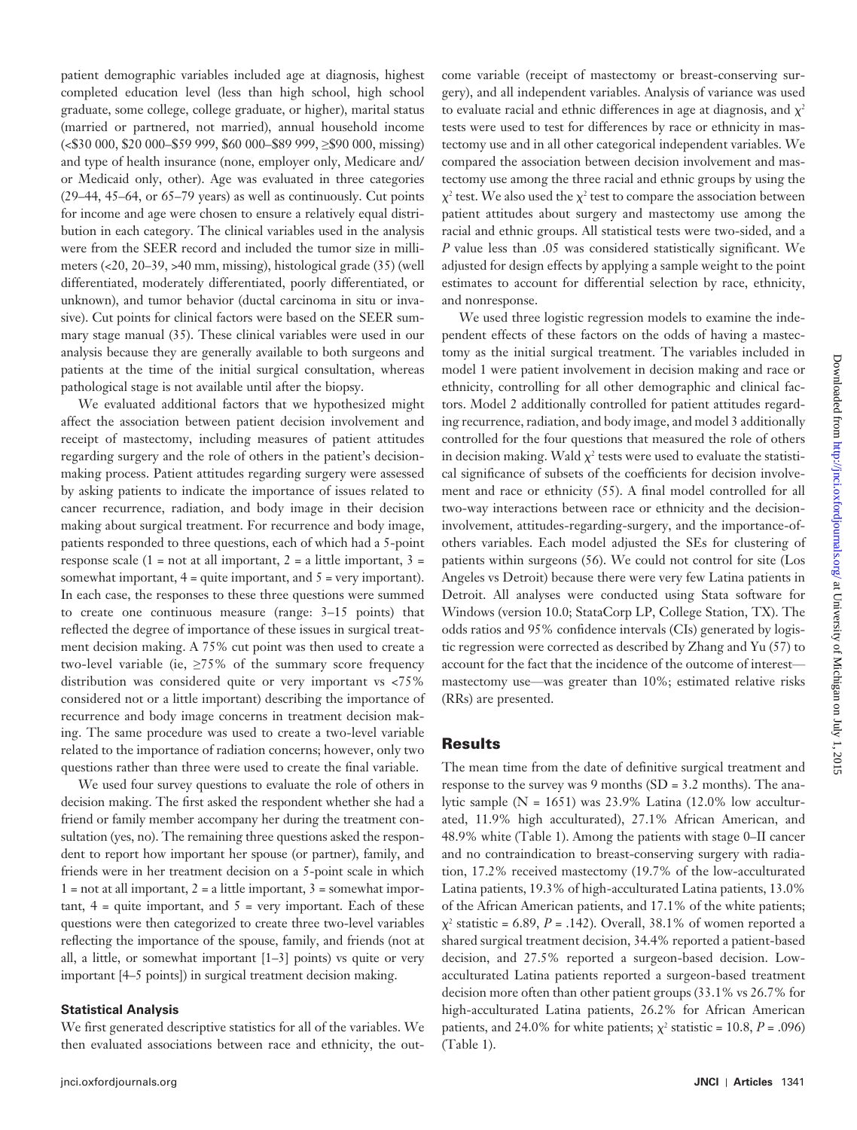patient demographic variables included age at diagnosis, highest completed education level (less than high school, high school graduate, some college, college graduate, or higher), marital status (married or partnered, not married), annual household income (<\$30 000, \$20 000 – \$59 999, \$60 000 – \$89 999, ≥\$90 000, missing) and type of health insurance (none, employer only, Medicare and/ or Medicaid only, other). Age was evaluated in three categories  $(29-44, 45-64, or 65-79 years)$  as well as continuously. Cut points for income and age were chosen to ensure a relatively equal distribution in each category. The clinical variables used in the analysis were from the SEER record and included the tumor size in millimeters  $(\le 20, 20 - 39, > 40 \text{ mm}, \text{missing})$ , histological grade  $(35)$  (well differentiated, moderately differentiated, poorly differentiated, or unknown), and tumor behavior (ductal carcinoma in situ or invasive). Cut points for clinical factors were based on the SEER summary stage manual (35). These clinical variables were used in our analysis because they are generally available to both surgeons and patients at the time of the initial surgical consultation, whereas pathological stage is not available until after the biopsy.

We evaluated additional factors that we hypothesized might affect the association between patient decision involvement and receipt of mastectomy, including measures of patient attitudes regarding surgery and the role of others in the patient's decisionmaking process. Patient attitudes regarding surgery were assessed by asking patients to indicate the importance of issues related to cancer recurrence, radiation, and body image in their decision making about surgical treatment. For recurrence and body image, patients responded to three questions, each of which had a 5-point response scale (1 = not at all important, 2 = a little important, 3 = somewhat important,  $4 =$  quite important, and  $5 =$  very important). In each case, the responses to these three questions were summed to create one continuous measure (range:  $3-15$  points) that reflected the degree of importance of these issues in surgical treatment decision making. A 75% cut point was then used to create a two-level variable (ie,  $\geq 75\%$  of the summary score frequency distribution was considered quite or very important vs <75% considered not or a little important) describing the importance of recurrence and body image concerns in treatment decision making. The same procedure was used to create a two-level variable related to the importance of radiation concerns; however, only two questions rather than three were used to create the final variable.

We used four survey questions to evaluate the role of others in decision making. The first asked the respondent whether she had a friend or family member accompany her during the treatment consultation (yes, no). The remaining three questions asked the respondent to report how important her spouse (or partner), family, and friends were in her treatment decision on a 5-point scale in which  $1 = not at all important, 2 = a little important, 3 = somewhat import.$ tant,  $4 =$  quite important, and  $5 =$  very important. Each of these questions were then categorized to create three two-level variables reflecting the importance of the spouse, family, and friends (not at all, a little, or somewhat important  $[1-3]$  points) vs quite or very important [4–5 points]) in surgical treatment decision making.

## **Statistical Analysis**

We first generated descriptive statistics for all of the variables. We then evaluated associations between race and ethnicity, the outcome variable (receipt of mastectomy or breast-conserving surgery), and all independent variables. Analysis of variance was used to evaluate racial and ethnic differences in age at diagnosis, and  $\chi^2$ tests were used to test for differences by race or ethnicity in mastectomy use and in all other categorical independent variables. We compared the association between decision involvement and mastectomy use among the three racial and ethnic groups by using the  $\chi^2$  test. We also used the  $\chi^2$  test to compare the association between patient attitudes about surgery and mastectomy use among the racial and ethnic groups. All statistical tests were two-sided, and a *P* value less than .05 was considered statistically significant. We adjusted for design effects by applying a sample weight to the point estimates to account for differential selection by race, ethnicity, and nonresponse.

We used three logistic regression models to examine the independent effects of these factors on the odds of having a mastectomy as the initial surgical treatment. The variables included in model 1 were patient involvement in decision making and race or ethnicity, controlling for all other demographic and clinical factors. Model 2 additionally controlled for patient attitudes regarding recurrence, radiation, and body image, and model 3 additionally controlled for the four questions that measured the role of others in decision making. Wald  $\chi^2$  tests were used to evaluate the statistical significance of subsets of the coefficients for decision involvement and race or ethnicity (55). A final model controlled for all two-way interactions between race or ethnicity and the decisioninvolvement, attitudes-regarding-surgery, and the importance-ofothers variables. Each model adjusted the SEs for clustering of patients within surgeons (56). We could not control for site (Los Angeles vs Detroit) because there were very few Latina patients in Detroit. All analyses were conducted using Stata software for Windows (version 10.0; StataCorp LP, College Station, TX). The odds ratios and 95% confidence intervals (CIs) generated by logistic regression were corrected as described by Zhang and Yu (57) to account for the fact that the incidence of the outcome of interestmastectomy use—was greater than 10%; estimated relative risks (RRs) are presented.

# **Results**

The mean time from the date of definitive surgical treatment and response to the survey was 9 months (SD = 3.2 months). The analytic sample ( $N = 1651$ ) was 23.9% Latina (12.0% low acculturated, 11.9% high acculturated), 27.1% African American, and 48.9% white (Table 1). Among the patients with stage 0–II cancer and no contraindication to breast-conserving surgery with radiation, 17.2% received mastectomy (19.7% of the low-acculturated Latina patients, 19.3% of high-acculturated Latina patients, 13.0% of the African American patients, and 17.1% of the white patients;  $\chi^2$  statistic = 6.89, *P* = .142). Overall, 38.1% of women reported a shared surgical treatment decision, 34.4% reported a patient-based decision, and 27.5% reported a surgeon-based decision. Lowacculturated Latina patients reported a surgeon-based treatment decision more often than other patient groups (33.1% vs 26.7% for high-acculturated Latina patients, 26.2% for African American patients, and 24.0% for white patients;  $\chi^2$  statistic = 10.8, *P* = .096)  $(Table 1)$ .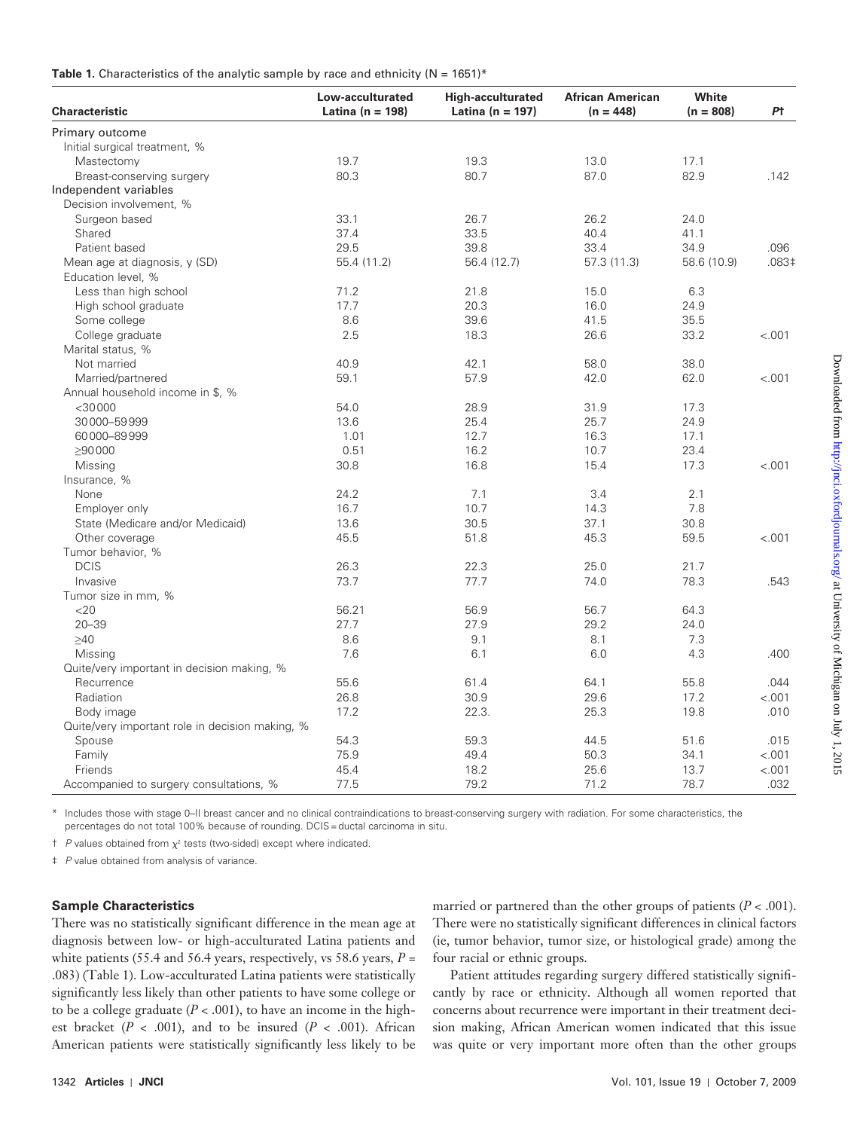|  |  | <b>Table 1.</b> Characteristics of the analytic sample by race and ethnicity ( $N = 1651$ )* |
|--|--|----------------------------------------------------------------------------------------------|
|--|--|----------------------------------------------------------------------------------------------|

| <b>Characteristic</b>                           | Low-acculturated<br>Latina ( $n = 198$ ) | High-acculturated<br>Latina ( $n = 197$ ) | <b>African American</b><br>$(n = 448)$ | White<br>$(n = 808)$ | Pt      |
|-------------------------------------------------|------------------------------------------|-------------------------------------------|----------------------------------------|----------------------|---------|
| Primary outcome                                 |                                          |                                           |                                        |                      |         |
| Initial surgical treatment, %                   |                                          |                                           |                                        |                      |         |
| Mastectomy                                      | 19.7                                     | 19.3                                      | 13.0                                   | 17.1                 |         |
| Breast-conserving surgery                       | 80.3                                     | 80.7                                      | 87.0                                   | 82.9                 | .142    |
| Independent variables                           |                                          |                                           |                                        |                      |         |
| Decision involvement, %                         |                                          |                                           |                                        |                      |         |
| Surgeon based                                   | 33.1                                     | 26.7                                      | 26.2                                   | 24.0                 |         |
| Shared                                          | 37.4                                     | 33.5                                      | 40.4                                   | 41.1                 |         |
| Patient based                                   | 29.5                                     | 39.8                                      | 33.4                                   | 34.9                 | .096    |
| Mean age at diagnosis, y (SD)                   | 55.4 (11.2)                              | 56.4 (12.7)                               | 57.3 (11.3)                            | 58.6 (10.9)          | .083‡   |
| Education level, %                              |                                          |                                           |                                        |                      |         |
| Less than high school                           | 71.2                                     | 21.8                                      | 15.0                                   | 6.3                  |         |
| High school graduate                            | 17.7                                     | 20.3                                      | 16.0                                   | 24.9                 |         |
| Some college                                    | 8.6                                      | 39.6                                      | 41.5                                   | 35.5                 |         |
| College graduate                                | 2.5                                      | 18.3                                      | 26.6                                   | 33.2                 | < .001  |
| Marital status, %                               |                                          |                                           |                                        |                      |         |
| Not married                                     | 40.9                                     | 42.1                                      | 58.0                                   | 38.0                 |         |
| Married/partnered                               | 59.1                                     | 57.9                                      | 42.0                                   | 62.0                 | < .001  |
| Annual household income in \$, %                |                                          |                                           |                                        |                      |         |
| $<$ 30000                                       | 54.0                                     | 28.9                                      | 31.9                                   | 17.3                 |         |
| 30000-59999                                     | 13.6                                     | 25.4                                      | 25.7                                   | 24.9                 |         |
| 60000-89999                                     | 1.01                                     | 12.7                                      | 16.3                                   | 17.1                 |         |
| $\geq$ 90000                                    | 0.51                                     | 16.2                                      | 10.7                                   | 23.4                 |         |
| Missing                                         | 30.8                                     | 16.8                                      | 15.4                                   | 17.3                 | $-.001$ |
| Insurance, %                                    |                                          |                                           |                                        |                      |         |
| None                                            | 24.2                                     | 7.1                                       | 3.4                                    | 2.1                  |         |
| Employer only                                   | 16.7                                     | 10.7                                      | 14.3                                   | 7.8                  |         |
| State (Medicare and/or Medicaid)                | 13.6                                     | 30.5                                      | 37.1                                   | 30.8                 |         |
| Other coverage                                  | 45.5                                     | 51.8                                      | 45.3                                   | 59.5                 | < .001  |
| Tumor behavior, %                               |                                          |                                           |                                        |                      |         |
| <b>DCIS</b>                                     | 26.3                                     | 22.3                                      | 25.0                                   | 21.7                 |         |
| Invasive                                        | 73.7                                     | 77.7                                      | 74.0                                   | 78.3                 | .543    |
| Tumor size in mm, %                             |                                          |                                           |                                        |                      |         |
| $<$ 20                                          | 56.21                                    | 56.9                                      | 56.7                                   | 64.3                 |         |
| $20 - 39$                                       | 27.7                                     | 27.9                                      | 29.2                                   | 24.0                 |         |
| $\geq 40$                                       | 8.6                                      | 9.1                                       | 8.1                                    | 7.3                  |         |
| Missing                                         | 7.6                                      | 6.1                                       | 6.0                                    | 4.3                  | .400    |
| Quite/very important in decision making, %      |                                          |                                           |                                        |                      |         |
| Recurrence                                      | 55.6                                     | 61.4                                      | 64.1                                   | 55.8                 | .044    |
| Radiation                                       | 26.8                                     | 30.9                                      | 29.6                                   | 17.2                 | < .001  |
| Body image                                      | 17.2                                     | 22.3.                                     | 25.3                                   | 19.8                 | .010    |
| Quite/very important role in decision making, % |                                          |                                           |                                        |                      |         |
| Spouse                                          | 54.3                                     | 59.3                                      | 44.5                                   | 51.6                 | .015    |
| Family                                          | 75.9                                     | 49.4                                      | 50.3                                   | 34.1                 | < .001  |
| Friends                                         | 45.4                                     | 18.2                                      | 25.6                                   | 13.7                 | < .001  |
| Accompanied to surgery consultations, %         | 77.5                                     | 79.2                                      | 71.2                                   | 78.7                 | .032    |

Includes those with stage 0-II breast cancer and no clinical contraindications to breast-conserving surgery with radiation. For some characteristics, the percentages do not total 100% because of rounding. DCIS = ductal carcinoma in situ.

 $\uparrow$  P values obtained from  $\chi^2$  tests (two-sided) except where indicated.

‡ P value obtained from analysis of variance.

## **Sample Characteristics**

There was no statistically significant difference in the mean age at diagnosis between low- or high-acculturated Latina patients and white patients (55.4 and 56.4 years, respectively, vs 58.6 years,  $P =$ .083) (Table 1). Low-acculturated Latina patients were statistically significantly less likely than other patients to have some college or to be a college graduate ( $P < .001$ ), to have an income in the highest bracket ( $P < .001$ ), and to be insured ( $P < .001$ ). African American patients were statistically significantly less likely to be

married or partnered than the other groups of patients  $(P < .001)$ . There were no statistically significant differences in clinical factors (ie, tumor behavior, tumor size, or histological grade) among the four racial or ethnic groups.

Patient attitudes regarding surgery differed statistically significantly by race or ethnicity. Although all women reported that concerns about recurrence were important in their treatment decision making, African American women indicated that this issue was quite or very important more often than the other groups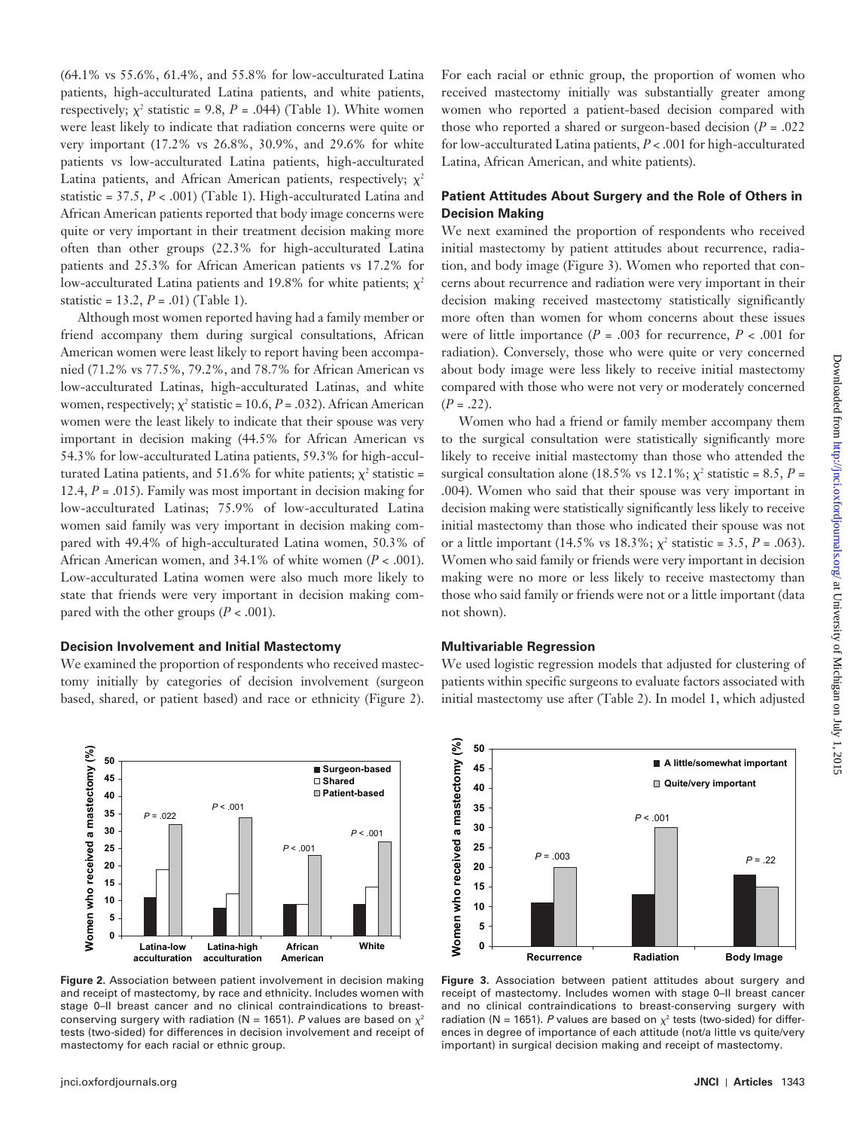(64.1% vs 55.6%, 61.4%, and 55.8% for low-acculturated Latina patients, high-acculturated Latina patients, and white patients, respectively;  $\chi^2$  statistic = 9.8,  $P = .044$ ) (Table 1). White women were least likely to indicate that radiation concerns were quite or very important (17.2% vs 26.8%, 30.9%, and 29.6% for white patients vs low-acculturated Latina patients, high-acculturated Latina patients, and African American patients, respectively;  $\chi^2$ statistic =  $37.5$ ,  $P < .001$ ) (Table 1). High-acculturated Latina and African American patients reported that body image concerns were quite or very important in their treatment decision making more often than other groups (22.3% for high-acculturated Latina patients and 25.3% for African American patients vs 17.2% for low-acculturated Latina patients and 19.8% for white patients;  $\chi^2$ statistic = 13.2,  $P = .01$ ) (Table 1).

Although most women reported having had a family member or friend accompany them during surgical consultations, African American women were least likely to report having been accompanied (71.2% vs 77.5%, 79.2%, and 78.7% for African American vs low-acculturated Latinas, high-acculturated Latinas, and white women, respectively;  $\chi^2$  statistic = 10.6,  $P = .032$ ). African American women were the least likely to indicate that their spouse was very important in decision making (44.5% for African American vs 54.3% for low-acculturated Latina patients, 59.3% for high-acculturated Latina patients, and 51.6% for white patients;  $\chi^2$  statistic = 12.4, *P* = .015). Family was most important in decision making for low-acculturated Latinas; 75.9% of low-acculturated Latina women said family was very important in decision making compared with 49.4% of high-acculturated Latina women, 50.3% of African American women, and  $34.1\%$  of white women ( $P < .001$ ). Low-acculturated Latina women were also much more likely to state that friends were very important in decision making compared with the other groups  $(P < .001)$ .

#### **Decision Involvement and Initial Mastectomy**

We examined the proportion of respondents who received mastectomy initially by categories of decision involvement (surgeon based, shared, or patient based) and race or ethnicity (Figure 2). For each racial or ethnic group, the proportion of women who received mastectomy initially was substantially greater among women who reported a patient-based decision compared with those who reported a shared or surgeon-based decision  $(P = .022)$ for low-acculturated Latina patients, *P* < .001 for high-acculturated Latina, African American, and white patients).

# **Patient Attitudes About Surgery and the Role of Others in Decision Making**

We next examined the proportion of respondents who received initial mastectomy by patient attitudes about recurrence, radiation, and body image (Figure 3). Women who reported that concerns about recurrence and radiation were very important in their decision making received mastectomy statistically significantly more often than women for whom concerns about these issues were of little importance  $(P = .003$  for recurrence,  $P < .001$  for radiation). Conversely, those who were quite or very concerned about body image were less likely to receive initial mastectomy compared with those who were not very or moderately concerned  $(P=.22)$ .

Women who had a friend or family member accompany them to the surgical consultation were statistically significantly more likely to receive initial mastectomy than those who attended the surgical consultation alone (18.5% vs 12.1%;  $\chi^2$  statistic = 8.5, *P* = .004). Women who said that their spouse was very important in decision making were statistically significantly less likely to receive initial mastectomy than those who indicated their spouse was not or a little important (14.5% vs 18.3%;  $\chi^2$  statistic = 3.5, *P* = .063). Women who said family or friends were very important in decision making were no more or less likely to receive mastectomy than those who said family or friends were not or a little important (data not shown).

## **Multivariable Regression**

We used logistic regression models that adjusted for clustering of patients within specific surgeons to evaluate factors associated with initial mastectomy use after (Table 2). In model 1, which adjusted



**Figure 2.** Association between patient involvement in decision making and receipt of mastectomy, by race and ethnicity. Includes women with stage 0-II breast cancer and no clinical contraindications to breastconserving surgery with radiation (N = 1651). P values are based on  $\chi^2$ tests (two-sided) for differences in decision involvement and receipt of mastectomy for each racial or ethnic group.



**Figure 3.** Association between patient attitudes about surgery and receipt of mastectomy. Includes women with stage 0-II breast cancer and no clinical contraindications to breast-conserving surgery with radiation (N = 1651). P values are based on  $\chi^2$  tests (two-sided) for differences in degree of importance of each attitude (not/a little vs quite/very important) in surgical decision making and receipt of mastectomy.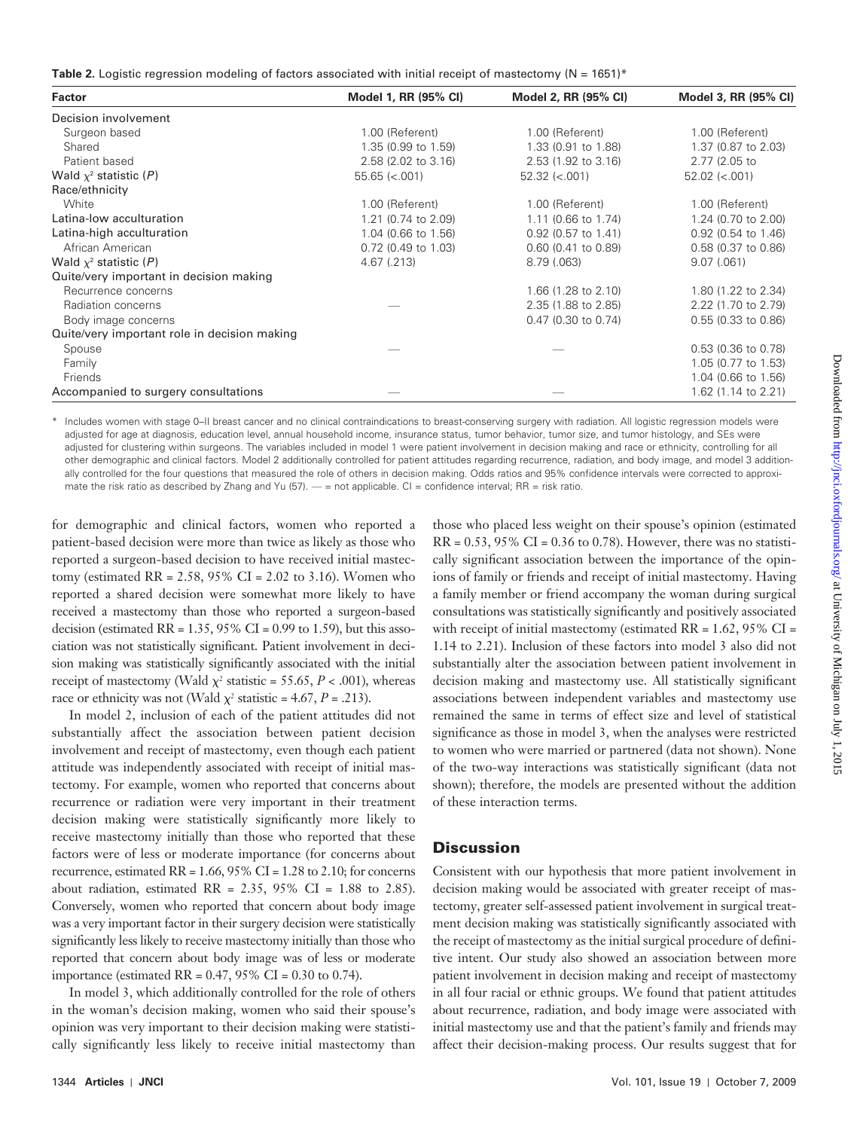|  |  |  |  |  |  |  |  | Table 2. Logistic regression modeling of factors associated with initial receipt of mastectomy (N = 1651)* |  |  |
|--|--|--|--|--|--|--|--|------------------------------------------------------------------------------------------------------------|--|--|
|--|--|--|--|--|--|--|--|------------------------------------------------------------------------------------------------------------|--|--|

| Factor                                       | Model 1, RR (95% CI) | Model 2, RR (95% CI)  | Model 3, RR (95% CI)  |
|----------------------------------------------|----------------------|-----------------------|-----------------------|
| Decision involvement                         |                      |                       |                       |
| Surgeon based                                | 1.00 (Referent)      | 1.00 (Referent)       | 1.00 (Referent)       |
| Shared                                       | 1.35 (0.99 to 1.59)  | 1.33 (0.91 to 1.88)   | 1.37 (0.87 to 2.03)   |
| Patient based                                | 2.58 (2.02 to 3.16)  | 2.53 (1.92 to 3.16)   | 2.77 (2.05 to         |
| Wald $\chi^2$ statistic (P)                  | $55.65$ ( $< .001$ ) | $52.32$ ( $< .001$ )  | $52.02$ ( $< .001$ )  |
| Race/ethnicity                               |                      |                       |                       |
| White                                        | 1.00 (Referent)      | 1.00 (Referent)       | 1.00 (Referent)       |
| Latina-low acculturation                     | 1.21 (0.74 to 2.09)  | 1.11 (0.66 to 1.74)   | 1.24 (0.70 to 2.00)   |
| Latina-high acculturation                    | 1.04 (0.66 to 1.56)  | $0.92$ (0.57 to 1.41) | $0.92$ (0.54 to 1.46) |
| African American                             | 0.72 (0.49 to 1.03)  | $0.60$ (0.41 to 0.89) | 0.58 (0.37 to 0.86)   |
| Wald $\chi^2$ statistic (P)                  | 4.67(.213)           | 8.79(.063)            | 9.07(.061)            |
| Quite/very important in decision making      |                      |                       |                       |
| Recurrence concerns                          |                      | 1.66 (1.28 to 2.10)   | 1.80 (1.22 to 2.34)   |
| Radiation concerns                           |                      | 2.35 (1.88 to 2.85)   | 2.22 (1.70 to 2.79)   |
| Body image concerns                          |                      | $0.47$ (0.30 to 0.74) | $0.55$ (0.33 to 0.86) |
| Quite/very important role in decision making |                      |                       |                       |
| Spouse                                       |                      |                       | 0.53 (0.36 to 0.78)   |
| Family                                       |                      |                       | 1.05 (0.77 to 1.53)   |
| Friends                                      |                      |                       | 1.04 (0.66 to 1.56)   |
| Accompanied to surgery consultations         |                      |                       | 1.62 (1.14 to 2.21)   |

Includes women with stage 0-II breast cancer and no clinical contraindications to breast-conserving surgery with radiation. All logistic regression models were adjusted for age at diagnosis, education level, annual household income, insurance status, tumor behavior, tumor size, and tumor histology, and SEs were adjusted for clustering within surgeons. The variables included in model 1 were patient involvement in decision making and race or ethnicity, controlling for all other demographic and clinical factors. Model 2 additionally controlled for patient attitudes regarding recurrence, radiation, and body image, and model 3 additionally controlled for the four questions that measured the role of others in decision making. Odds ratios and 95% confidence intervals were corrected to approximate the risk ratio as described by Zhang and Yu (57). — = not applicable. CI = confidence interval; RR = risk ratio.

for demographic and clinical factors, women who reported a patient-based decision were more than twice as likely as those who reported a surgeon-based decision to have received initial mastectomy (estimated  $RR = 2.58, 95\% \text{ CI} = 2.02 \text{ to } 3.16$ ). Women who reported a shared decision were somewhat more likely to have received a mastectomy than those who reported a surgeon-based decision (estimated RR =  $1.35$ , 95% CI = 0.99 to 1.59), but this association was not statistically significant. Patient involvement in decision making was statistically significantly associated with the initial receipt of mastectomy (Wald  $\chi^2$  statistic = 55.65, *P* < .001), whereas race or ethnicity was not (Wald  $\chi^2$  statistic = 4.67, *P* = .213).

In model 2, inclusion of each of the patient attitudes did not substantially affect the association between patient decision involvement and receipt of mastectomy, even though each patient attitude was independently associated with receipt of initial mastectomy. For example, women who reported that concerns about recurrence or radiation were very important in their treatment decision making were statistically significantly more likely to receive mastectomy initially than those who reported that these factors were of less or moderate importance (for concerns about recurrence, estimated  $RR = 1.66$ , 95% CI = 1.28 to 2.10; for concerns about radiation, estimated  $RR = 2.35$ , 95%  $CI = 1.88$  to 2.85). Conversely, women who reported that concern about body image was a very important factor in their surgery decision were statistically significantly less likely to receive mastectomy initially than those who reported that concern about body image was of less or moderate importance (estimated RR =  $0.47$ ,  $95\%$  CI =  $0.30$  to 0.74).

In model 3, which additionally controlled for the role of others in the woman's decision making, women who said their spouse's opinion was very important to their decision making were statistically significantly less likely to receive initial mastectomy than

those who placed less weight on their spouse's opinion (estimated  $RR = 0.53$ , 95% CI = 0.36 to 0.78). However, there was no statistically significant association between the importance of the opinions of family or friends and receipt of initial mastectomy. Having a family member or friend accompany the woman during surgical consultations was statistically significantly and positively associated with receipt of initial mastectomy (estimated  $RR = 1.62$ , 95%  $CI =$ 1.14 to 2.21). Inclusion of these factors into model 3 also did not substantially alter the association between patient involvement in decision making and mastectomy use. All statistically significant associations between independent variables and mastectomy use remained the same in terms of effect size and level of statistical significance as those in model 3, when the analyses were restricted to women who were married or partnered (data not shown). None of the two-way interactions was statistically significant (data not shown); therefore, the models are presented without the addition of these interaction terms.

# **Discussion**

Consistent with our hypothesis that more patient involvement in decision making would be associated with greater receipt of mastectomy, greater self-assessed patient involvement in surgical treatment decision making was statistically significantly associated with the receipt of mastectomy as the initial surgical procedure of definitive intent. Our study also showed an association between more patient involvement in decision making and receipt of mastectomy in all four racial or ethnic groups. We found that patient attitudes about recurrence, radiation, and body image were associated with initial mastectomy use and that the patient's family and friends may affect their decision-making process. Our results suggest that for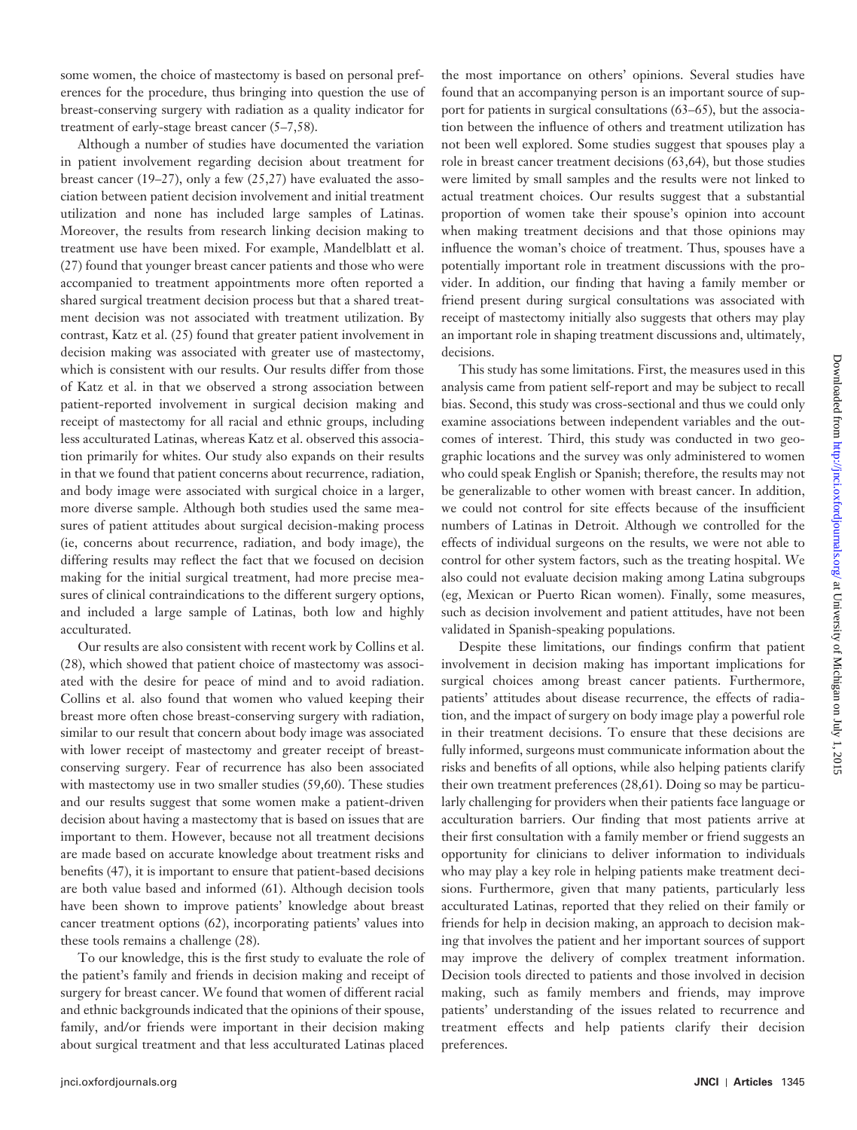some women, the choice of mastectomy is based on personal preferences for the procedure, thus bringing into question the use of breast-conserving surgery with radiation as a quality indicator for treatment of early-stage breast cancer  $(5-7, 58)$ .

Although a number of studies have documented the variation in patient involvement regarding decision about treatment for breast cancer (19-27), only a few  $(25,27)$  have evaluated the association between patient decision involvement and initial treatment utilization and none has included large samples of Latinas. Moreover, the results from research linking decision making to treatment use have been mixed. For example, Mandelblatt et al. (27) found that younger breast cancer patients and those who were accompanied to treatment appointments more often reported a shared surgical treatment decision process but that a shared treatment decision was not associated with treatment utilization. By contrast, Katz et al. (25) found that greater patient involvement in decision making was associated with greater use of mastectomy, which is consistent with our results. Our results differ from those of Katz et al. in that we observed a strong association between patient-reported involvement in surgical decision making and receipt of mastectomy for all racial and ethnic groups, including less acculturated Latinas, whereas Katz et al. observed this association primarily for whites. Our study also expands on their results in that we found that patient concerns about recurrence, radiation, and body image were associated with surgical choice in a larger, more diverse sample. Although both studies used the same measures of patient attitudes about surgical decision-making process (ie, concerns about recurrence, radiation, and body image), the differing results may reflect the fact that we focused on decision making for the initial surgical treatment, had more precise measures of clinical contraindications to the different surgery options, and included a large sample of Latinas, both low and highly acculturated.

Our results are also consistent with recent work by Collins et al. (28), which showed that patient choice of mastectomy was associated with the desire for peace of mind and to avoid radiation. Collins et al. also found that women who valued keeping their breast more often chose breast-conserving surgery with radiation, similar to our result that concern about body image was associated with lower receipt of mastectomy and greater receipt of breastconserving surgery. Fear of recurrence has also been associated with mastectomy use in two smaller studies  $(59, 60)$ . These studies and our results suggest that some women make a patient-driven decision about having a mastectomy that is based on issues that are important to them. However, because not all treatment decisions are made based on accurate knowledge about treatment risks and benefits (47), it is important to ensure that patient-based decisions are both value based and informed (61). Although decision tools have been shown to improve patients' knowledge about breast cancer treatment options (62), incorporating patients' values into these tools remains a challenge (28).

To our knowledge, this is the first study to evaluate the role of the patient's family and friends in decision making and receipt of surgery for breast cancer. We found that women of different racial and ethnic backgrounds indicated that the opinions of their spouse, family, and/or friends were important in their decision making about surgical treatment and that less acculturated Latinas placed

the most importance on others' opinions. Several studies have found that an accompanying person is an important source of support for patients in surgical consultations  $(63-65)$ , but the association between the influence of others and treatment utilization has not been well explored. Some studies suggest that spouses play a role in breast cancer treatment decisions (63,64), but those studies were limited by small samples and the results were not linked to actual treatment choices. Our results suggest that a substantial proportion of women take their spouse's opinion into account when making treatment decisions and that those opinions may influence the woman's choice of treatment. Thus, spouses have a potentially important role in treatment discussions with the provider. In addition, our finding that having a family member or friend present during surgical consultations was associated with receipt of mastectomy initially also suggests that others may play an important role in shaping treatment discussions and, ultimately, decisions.

This study has some limitations. First, the measures used in this analysis came from patient self-report and may be subject to recall bias. Second, this study was cross-sectional and thus we could only examine associations between independent variables and the outcomes of interest. Third, this study was conducted in two geographic locations and the survey was only administered to women who could speak English or Spanish; therefore, the results may not be generalizable to other women with breast cancer. In addition, we could not control for site effects because of the insufficient numbers of Latinas in Detroit. Although we controlled for the effects of individual surgeons on the results, we were not able to control for other system factors, such as the treating hospital. We also could not evaluate decision making among Latina subgroups (eg, Mexican or Puerto Rican women). Finally, some measures, such as decision involvement and patient attitudes, have not been validated in Spanish-speaking populations.

Despite these limitations, our findings confirm that patient involvement in decision making has important implications for surgical choices among breast cancer patients. Furthermore, patients' attitudes about disease recurrence, the effects of radiation, and the impact of surgery on body image play a powerful role in their treatment decisions. To ensure that these decisions are fully informed, surgeons must communicate information about the risks and benefits of all options, while also helping patients clarify their own treatment preferences  $(28, 61)$ . Doing so may be particularly challenging for providers when their patients face language or acculturation barriers. Our finding that most patients arrive at their first consultation with a family member or friend suggests an opportunity for clinicians to deliver information to individuals who may play a key role in helping patients make treatment decisions. Furthermore, given that many patients, particularly less acculturated Latinas, reported that they relied on their family or friends for help in decision making, an approach to decision making that involves the patient and her important sources of support may improve the delivery of complex treatment information. Decision tools directed to patients and those involved in decision making, such as family members and friends, may improve patients' understanding of the issues related to recurrence and treatment effects and help patients clarify their decision preferences.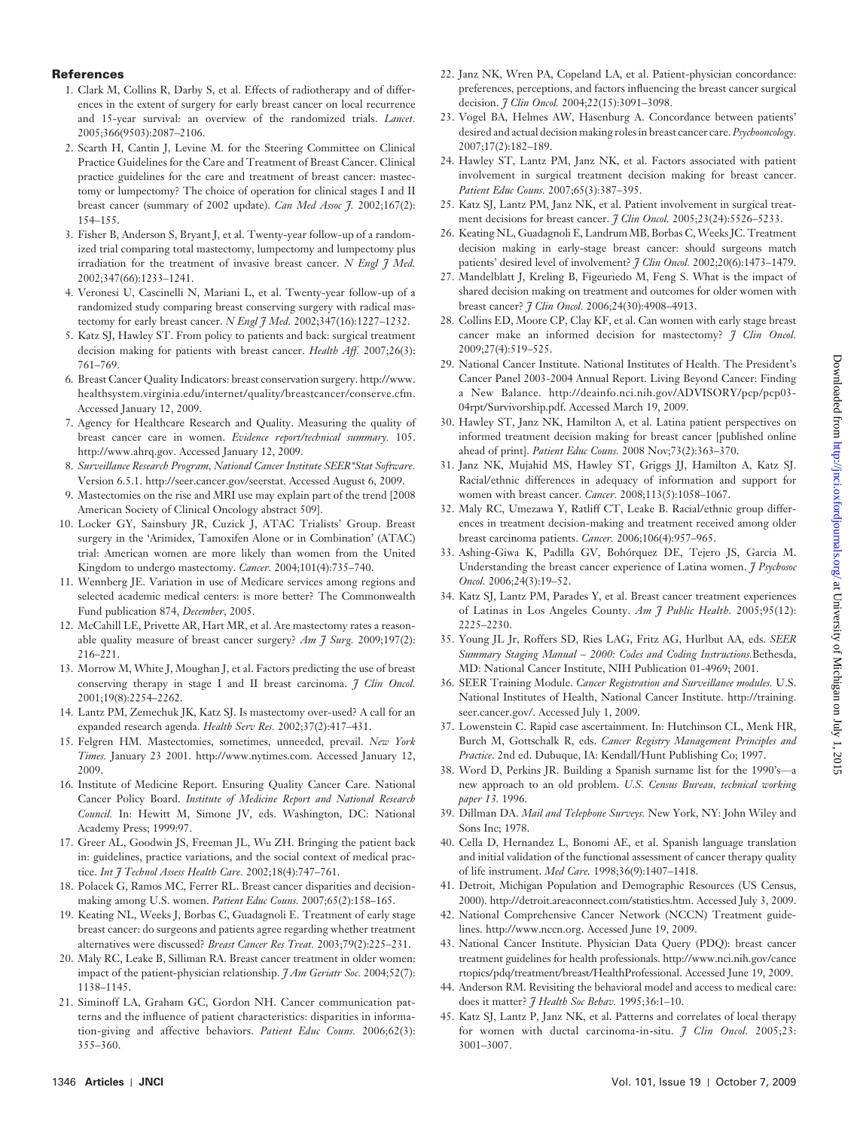## **References**

- 1. Clark M, Collins R, Darby S, et al. Effects of radiotherapy and of differences in the extent of surgery for early breast cancer on local recurrence and 15-year survival: an overview of the randomized trials. *Lancet*. 2005;366(9503):2087-2106.
- 2. Scarth H, Cantin J, Levine M. for the Steering Committee on Clinical Practice Guidelines for the Care and Treatment of Breast Cancer. Clinical practice guidelines for the care and treatment of breast cancer: mastectomy or lumpectomy? The choice of operation for clinical stages I and II breast cancer (summary of 2002 update). *Can Med Assoc*  $\tilde{f}$ . 2002;167(2):  $154 - 155$ .
- 3. Fisher B, Anderson S, Bryant J, et al. Twenty-year follow-up of a randomized trial comparing total mastectomy, lumpectomy and lumpectomy plus irradiation for the treatment of invasive breast cancer. *N Engl 7 Med.* 2002;347(66):1233-1241.
- 4. Veronesi U, Cascinelli N, Mariani L, et al. Twenty-year follow-up of a randomized study comparing breast conserving surgery with radical mastectomy for early breast cancer. *N Engl J Med.* 2002;347(16):1227-1232.
- 5. Katz SJ, Hawley ST. From policy to patients and back: surgical treatment decision making for patients with breast cancer. *Health Aff.* 2007;26(3): 761-769.
- 6. Breast Cancer Quality Indicators: breast conservation surgery . [http :// www .](http://www.healthsystem.virginia.edu/internet/quality/breastcancer/conserve.cfm) [healthsystem . virginia . edu / internet / quality / breastcancer / conserve . cfm](http://www.healthsystem.virginia.edu/internet/quality/breastcancer/conserve.cfm). Accessed January 12, 2009.
- 7. Agency for Healthcare Research and Quality. Measuring the quality of breast cancer care in women. *Evidence report/technical summary*. 105. http://www.ahrq.gov. Accessed January 12, 2009.
- 8. *Surveillance Research Program, National Cancer Institute SEER\*Stat Software .*  Version 6.5.1. http://seer.cancer.gov/seerstat. Accessed August 6, 2009.
- 9. Mastectomies on the rise and MRI use may explain part of the trend [2008 American Society of Clinical Oncology abstract 509] .
- 10. Locker GY, Sainsbury JR, Cuzick J, ATAC Trialists' Group. Breast surgery in the 'Arimidex, Tamoxifen Alone or in Combination' (ATAC) trial: American women are more likely than women from the United Kingdom to undergo mastectomy. *Cancer*. 2004;101(4):735-740.
- 11. Wennberg JE. Variation in use of Medicare services among regions and selected academic medical centers: is more better? The Commonwealth Fund publication 874, *December*, 2005.
- 12. McCahill LE, Privette AR, Hart MR, et al. Are mastectomy rates a reasonable quality measure of breast cancer surgery?  $Am \nmid T \nmid Surg. 2009; 197(2)$ : 216-221.
- 13. Morrow M, White J, Moughan J, et al. Factors predicting the use of breast conserving therapy in stage I and II breast carcinoma. *J Clin Oncol*. 2001;19(8):2254-2262.
- 14. Lantz PM, Zemechuk JK, Katz SJ. Is mastectomy over-used? A call for an expanded research agenda. *Health Serv Res.* 2002;37(2):417-431.
- 15. Felgren HM. Mastectomies, sometimes, unneeded, prevail. New York *Times.* January 23 2001. http://www.nytimes.com. Accessed January 12, 2009.
- 16. Institute of Medicine Report. Ensuring Quality Cancer Care. National Cancer Policy Board. *Institute of Medicine Report and National Research* Council. In: Hewitt M, Simone JV, eds. Washington, DC: National Academy Press; 1999:97.
- 17. Greer AL, Goodwin JS, Freeman JL, Wu ZH. Bringing the patient back in: guidelines, practice variations, and the social context of medical practice. *Int J Technol Assess Health Care*. 2002;18(4):747-761.
- 18. Polacek G, Ramos MC, Ferrer RL. Breast cancer disparities and decisionmaking among U.S. women. *Patient Educ Couns*. 2007;65(2):158-165.
- 19. Keating NL, Weeks J, Borbas C, Guadagnoli E. Treatment of early stage breast cancer: do surgeons and patients agree regarding whether treatment alternatives were discussed? *Breast Cancer Res Treat.* 2003;79(2):225-231.
- 20. Maly RC, Leake B, Silliman RA. Breast cancer treatment in older women: impact of the patient-physician relationship.  $\mathcal{J}Am\,$  Geriatr Soc. 2004;52(7): 1138 – 1145.
- 21. Siminoff LA, Graham GC, Gordon NH. Cancer communication patterns and the influence of patient characteristics: disparities in information-giving and affective behaviors. Patient Educ Couns. 2006;62(3): 355 – 360.
- 22. Janz NK, Wren PA, Copeland LA, et al. Patient-physician concordance: preferences, perceptions, and factors influencing the breast cancer surgical decision. *J Clin Oncol.* 2004;22(15):3091-3098.
- 23. Vogel BA, Helmes AW, Hasenburg A. Concordance between patients' desired and actual decision making roles in breast cancer care . *Psychooncology .*  2007:17(2):182-189.
- 24. Hawley ST, Lantz PM, Janz NK, et al. Factors associated with patient involvement in surgical treatment decision making for breast cancer. Patient Educ Couns. 2007;65(3):387-395.
- 25. Katz SJ, Lantz PM, Janz NK, et al. Patient involvement in surgical treatment decisions for breast cancer. *J Clin Oncol.* 2005;23(24):5526-5233.
- 26. Keating NL, Guadagnoli E, Landrum MB, Borbas C, Weeks JC. Treatment decision making in early-stage breast cancer: should surgeons match patients' desired level of involvement? *J Clin Oncol*. 2002;20(6):1473-1479.
- 27. Mandelblatt J, Kreling B, Figeuriedo M, Feng S. What is the impact of shared decision making on treatment and outcomes for older women with breast cancer? *J Clin Oncol.* 2006;24(30):4908-4913.
- 28. Collins ED, Moore CP, Clay KF, et al. Can women with early stage breast cancer make an informed decision for mastectomy? *I Clin Oncol.* 2009;27(4):519-525.
- 29. National Cancer Institute . National Institutes of Health. The President's Cancer Panel 2003-2004 Annual Report. Living Beyond Cancer: Finding a New Balance. http://deainfo.nci.nih.gov/ADVISORY/pcp/pcp03-04rpt/Survivorship.pdf. Accessed March 19, 2009.
- 30. Hawley ST, Janz NK, Hamilton A, et al. Latina patient perspectives on informed treatment decision making for breast cancer [published online ahead of print]. *Patient Educ Couns*. 2008 Nov;73(2):363-370.
- 31. Janz NK, Mujahid MS, Hawley ST, Griggs JJ, Hamilton A, Katz SJ. Racial/ethnic differences in adequacy of information and support for women with breast cancer. *Cancer*. 2008;113(5):1058-1067.
- 32. Maly RC, Umezawa Y, Ratliff CT, Leake B. Racial/ethnic group differences in treatment decision-making and treatment received among older breast carcinoma patients. *Cancer*. 2006;106(4):957-965.
- 33. Ashing-Giwa K, Padilla GV, Bohórquez DE, Tejero JS, Garcia M. Understanding the breast cancer experience of Latina women . *J Psychosoc Oncol.* 2006;24(3):19-52.
- 34. Katz SJ, Lantz PM, Parades Y, et al. Breast cancer treatment experiences of Latinas in Los Angeles County. *Am 7 Public Health.* 2005;95(12): 2225 – 2230.
- 35. Young JL Jr, Roffers SD, Ries LAG, Fritz AG, Hurlbut AA, eds. *SEER Summary Staging Manual –2000: Codes and Coding Instructions .* Bethesda, MD: National Cancer Institute, NIH Publication 01-4969; 2001.
- 36. SEER Training Module . *Cancer Registration and Surveillance modules .* U.S. National Institutes of Health, National Cancer Institute. http://training. seer.cancer.gov/. Accessed July 1, 2009.
- 37. Lowenstein C. Rapid case ascertainment. In: Hutchinson CL, Menk HR, Burch M, Gottschalk R, eds. *Cancer Registry Management Principles and* Practice. 2nd ed. Dubuque, IA: Kendall/Hunt Publishing Co; 1997.
- 38. Word D, Perkins JR. Building a Spanish surname list for the 1990's-a new approach to an old problem. U.S. Census Bureau, technical working *paper 13 .* 1996 .
- 39. DillmanDA . *Mail and Telephone Surveys .* New York, NY : John Wiley and Sons Inc; 1978.
- 40. Cella D, Hernandez L, Bonomi AE, et al. Spanish language translation and initial validation of the functional assessment of cancer therapy quality of life instrument. *Med Care*. 1998;36(9):1407-1418.
- 41. Detroit, Michigan Population and Demographic Resources (US Census, 2000). http://detroit.areaconnect.com/statistics.htm. Accessed July 3, 2009.
- 42. National Comprehensive Cancer Network (NCCN) Treatment guidelines. http://www.nccn.org. Accessed June 19, 2009.
- 43. National Cancer Institute. Physician Data Query (PDQ): breast cancer treatment guidelines for health professionals. http://www.nci.nih.gov/cance rtopics/pdq/treatment/breast/HealthProfessional. Accessed June 19, 2009.
- 44. Anderson RM. Revisiting the behavioral model and access to medical care: does it matter? *J Health Soc Behav*. 1995;36:1-10.
- 45. Katz SJ, Lantz P, Janz NK, et al. Patterns and correlates of local therapy for women with ductal carcinoma-in-situ. *J Clin Oncol.* 2005;23:  $3001 - 3007$ .